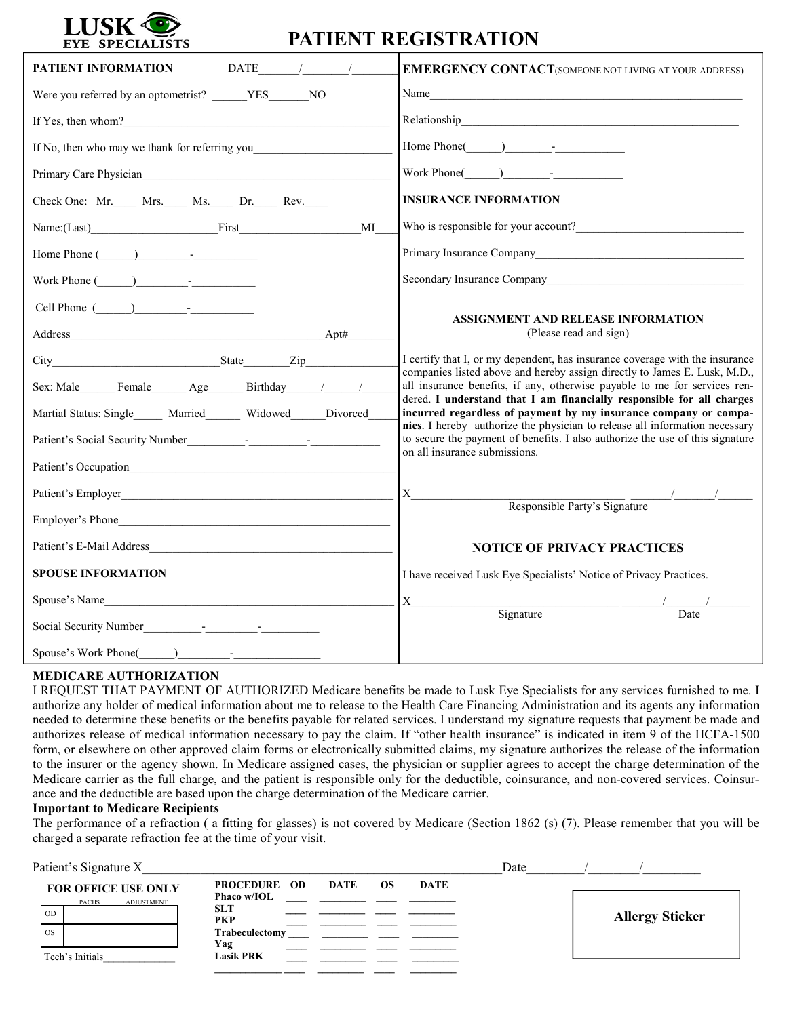

## **PATIENT REGISTRATION**

| $\begin{array}{ccc}\n\text{DATE} & & / & \n\end{array}$<br>PATIENT INFORMATION                                                                   | <b>EMERGENCY CONTACT</b> (SOMEONE NOT LIVING AT YOUR ADDRESS)                                                                                                                                                                       |  |  |
|--------------------------------------------------------------------------------------------------------------------------------------------------|-------------------------------------------------------------------------------------------------------------------------------------------------------------------------------------------------------------------------------------|--|--|
| Were you referred by an optometrist? YES NO                                                                                                      |                                                                                                                                                                                                                                     |  |  |
| If Yes, then whom?                                                                                                                               |                                                                                                                                                                                                                                     |  |  |
| If No, then who may we thank for referring you                                                                                                   | Home Phone() -                                                                                                                                                                                                                      |  |  |
|                                                                                                                                                  | Work Phone $($ ) -                                                                                                                                                                                                                  |  |  |
| Check One: Mr. Mrs. Ms. Dr. Rev.                                                                                                                 | <b>INSURANCE INFORMATION</b>                                                                                                                                                                                                        |  |  |
| Name:(Last) First<br>MI                                                                                                                          | Who is responsible for your account?                                                                                                                                                                                                |  |  |
| Home Phone $($ ) -                                                                                                                               |                                                                                                                                                                                                                                     |  |  |
| Work Phone $($ $)$ $ -$                                                                                                                          | Secondary Insurance Company Management Company Management Company                                                                                                                                                                   |  |  |
| Cell Phone ( ) -                                                                                                                                 |                                                                                                                                                                                                                                     |  |  |
| Apt#<br>Address                                                                                                                                  | <b>ASSIGNMENT AND RELEASE INFORMATION</b><br>(Please read and sign)                                                                                                                                                                 |  |  |
|                                                                                                                                                  | I certify that I, or my dependent, has insurance coverage with the insurance                                                                                                                                                        |  |  |
| Sex: Male Female Age Birthday / /                                                                                                                | companies listed above and hereby assign directly to James E. Lusk, M.D.,<br>all insurance benefits, if any, otherwise payable to me for services ren-                                                                              |  |  |
| Martial Status: Single Married Widowed Divorced                                                                                                  | dered. I understand that I am financially responsible for all charges<br>incurred regardless of payment by my insurance company or compa-                                                                                           |  |  |
| Patient's Social Security Number<br><u>[16]</u> - The Contract of Social Security Number<br><u>[16] - The Contract of Social Security Number</u> | nies. I hereby authorize the physician to release all information necessary<br>to secure the payment of benefits. I also authorize the use of this signature                                                                        |  |  |
|                                                                                                                                                  | on all insurance submissions.                                                                                                                                                                                                       |  |  |
|                                                                                                                                                  | X                                                                                                                                                                                                                                   |  |  |
| Employer's Phone                                                                                                                                 | Responsible Party's Signature                                                                                                                                                                                                       |  |  |
| Patient's E-Mail Address                                                                                                                         | <b>NOTICE OF PRIVACY PRACTICES</b>                                                                                                                                                                                                  |  |  |
| <b>SPOUSE INFORMATION</b>                                                                                                                        | I have received Lusk Eye Specialists' Notice of Privacy Practices.                                                                                                                                                                  |  |  |
| Spouse's Name                                                                                                                                    | X<br>Signature Contract Contract Contract Contract Contract Contract Contract Contract Contract Contract Contract Contract Contract Contract Contract Contract Contract Contract Contract Contract Contract Contract Contract Contr |  |  |
|                                                                                                                                                  | Date                                                                                                                                                                                                                                |  |  |
|                                                                                                                                                  |                                                                                                                                                                                                                                     |  |  |

## **MEDICARE AUTHORIZATION**

I REQUEST THAT PAYMENT OF AUTHORIZED Medicare benefits be made to Lusk Eye Specialists for any services furnished to me. I authorize any holder of medical information about me to release to the Health Care Financing Administration and its agents any information needed to determine these benefits or the benefits payable for related services. I understand my signature requests that payment be made and authorizes release of medical information necessary to pay the claim. If "other health insurance" is indicated in item 9 of the HCFA-1500 form, or elsewhere on other approved claim forms or electronically submitted claims, my signature authorizes the release of the information to the insurer or the agency shown. In Medicare assigned cases, the physician or supplier agrees to accept the charge determination of the Medicare carrier as the full charge, and the patient is responsible only for the deductible, coinsurance, and non-covered services. Coinsurance and the deductible are based upon the charge determination of the Medicare carrier.

## **Important to Medicare Recipients**

The performance of a refraction ( a fitting for glasses) is not covered by Medicare (Section 1862 (s) (7). Please remember that you will be charged a separate refraction fee at the time of your visit.

| Patient's Signature X                                                                     |                                                                                  |                   |      | Date |                        |
|-------------------------------------------------------------------------------------------|----------------------------------------------------------------------------------|-------------------|------|------|------------------------|
| <b>FOR OFFICE USE ONLY</b><br><b>ADJUSTMENT</b><br><b>PACHS</b><br><b>OD</b><br><b>OS</b> | <b>PROCEDURE OD</b><br>Phaco w/IOL<br><b>SLT</b><br><b>PKP</b><br>Trabeculectomy | DATE<br><b>OS</b> | DATE |      | <b>Allergy Sticker</b> |
| Tech's Initials                                                                           | Yag<br><b>Lasik PRK</b>                                                          |                   |      |      |                        |